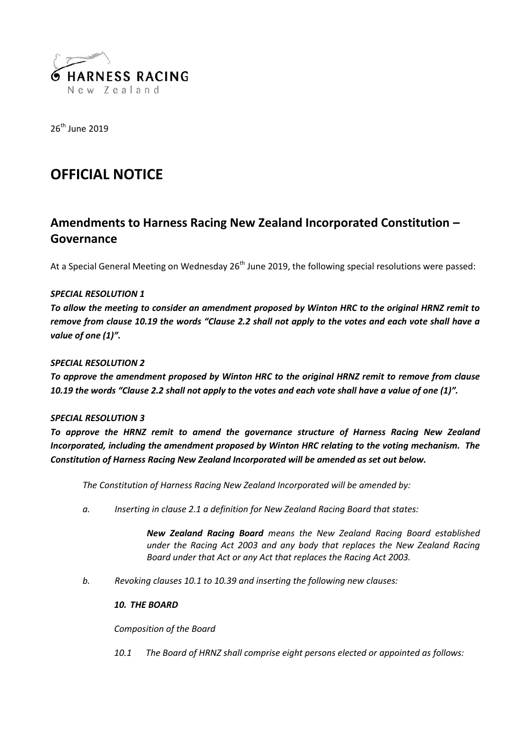

26<sup>th</sup> June 2019

# **OFFICIAL NOTICE**

# **Amendments to Harness Racing New Zealand Incorporated Constitution – Governance**

At a Special General Meeting on Wednesday  $26<sup>th</sup>$  June 2019, the following special resolutions were passed:

# *SPECIAL RESOLUTION 1*

*To allow the meeting to consider an amendment proposed by Winton HRC to the original HRNZ remit to remove from clause 10.19 the words "Clause 2.2 shall not apply to the votes and each vote shall have a value of one (1)".*

# *SPECIAL RESOLUTION 2*

*To approve the amendment proposed by Winton HRC to the original HRNZ remit to remove from clause 10.19 the words "Clause 2.2 shall not apply to the votes and each vote shall have a value of one (1)".*

# *SPECIAL RESOLUTION 3*

*To approve the HRNZ remit to amend the governance structure of Harness Racing New Zealand Incorporated, including the amendment proposed by Winton HRC relating to the voting mechanism. The Constitution of Harness Racing New Zealand Incorporated will be amended as set out below.*

*The Constitution of Harness Racing New Zealand Incorporated will be amended by:*

*a. Inserting in clause 2.1 a definition for New Zealand Racing Board that states:*

*New Zealand Racing Board means the New Zealand Racing Board established under the Racing Act 2003 and any body that replaces the New Zealand Racing Board under that Act or any Act that replaces the Racing Act 2003.*

*b. Revoking clauses 10.1 to 10.39 and inserting the following new clauses:*

# *10. THE BOARD*

*Composition of the Board*

*10.1 The Board of HRNZ shall comprise eight persons elected or appointed as follows:*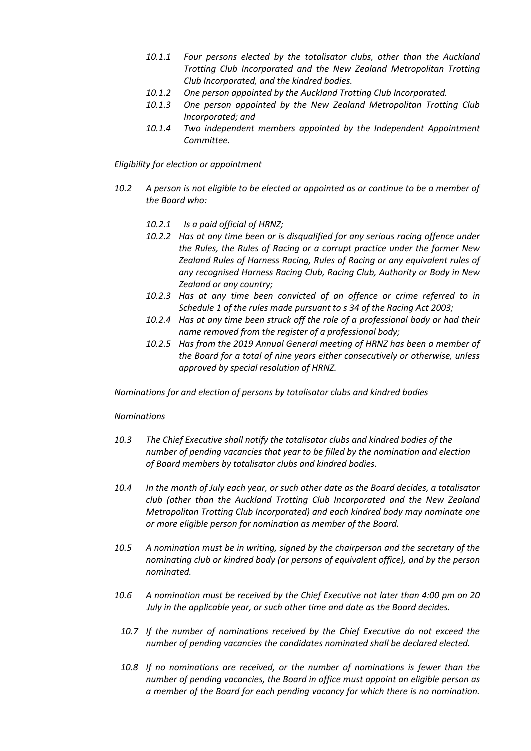- *10.1.1 Four persons elected by the totalisator clubs, other than the Auckland Trotting Club Incorporated and the New Zealand Metropolitan Trotting Club Incorporated, and the kindred bodies.*
- *10.1.2 One person appointed by the Auckland Trotting Club Incorporated.*
- *10.1.3 One person appointed by the New Zealand Metropolitan Trotting Club Incorporated; and*
- *10.1.4 Two independent members appointed by the Independent Appointment Committee.*

*Eligibility for election or appointment*

- *10.2 A person is not eligible to be elected or appointed as or continue to be a member of the Board who:*
	- *10.2.1 Is a paid official of HRNZ;*
	- *10.2.2 Has at any time been or is disqualified for any serious racing offence under the Rules, the Rules of Racing or a corrupt practice under the former New Zealand Rules of Harness Racing, Rules of Racing or any equivalent rules of any recognised Harness Racing Club, Racing Club, Authority or Body in New Zealand or any country;*
	- *10.2.3 Has at any time been convicted of an offence or crime referred to in Schedule 1 of the rules made pursuant to s 34 of the Racing Act 2003;*
	- *10.2.4 Has at any time been struck off the role of a professional body or had their name removed from the register of a professional body;*
	- *10.2.5 Has from the 2019 Annual General meeting of HRNZ has been a member of the Board for a total of nine years either consecutively or otherwise, unless approved by special resolution of HRNZ.*

*Nominations for and election of persons by totalisator clubs and kindred bodies*

# *Nominations*

- *10.3 The Chief Executive shall notify the totalisator clubs and kindred bodies of the number of pending vacancies that year to be filled by the nomination and election of Board members by totalisator clubs and kindred bodies.*
- *10.4 In the month of July each year, or such other date as the Board decides, a totalisator club (other than the Auckland Trotting Club Incorporated and the New Zealand Metropolitan Trotting Club Incorporated) and each kindred body may nominate one or more eligible person for nomination as member of the Board.*
- *10.5 A nomination must be in writing, signed by the chairperson and the secretary of the nominating club or kindred body (or persons of equivalent office), and by the person nominated.*
- *10.6 A nomination must be received by the Chief Executive not later than 4:00 pm on 20 July in the applicable year, or such other time and date as the Board decides.*
	- *10.7 If the number of nominations received by the Chief Executive do not exceed the number of pending vacancies the candidates nominated shall be declared elected.*
	- *10.8 If no nominations are received, or the number of nominations is fewer than the number of pending vacancies, the Board in office must appoint an eligible person as a member of the Board for each pending vacancy for which there is no nomination.*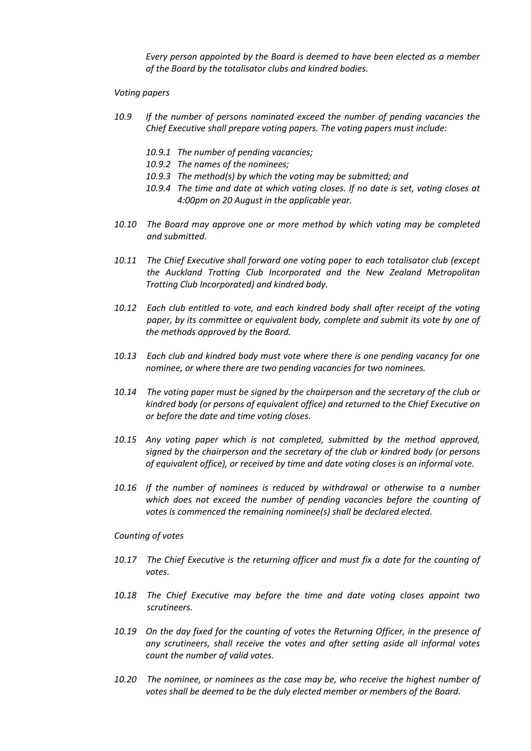*Every person appointed by the Board is deemed to have been elected as a member of the Board by the totalisator clubs and kindred bodies.*

#### *Voting papers*

- *10.9 If the number of persons nominated exceed the number of pending vacancies the Chief Executive shall prepare voting papers. The voting papers must include:*
	- *10.9.1 The number of pending vacancies;*
	- *10.9.2 The names of the nominees;*
	- *10.9.3 The method(s) by which the voting may be submitted; and*
	- *10.9.4 The time and date at which voting closes. If no date is set, voting closes at 4:00pm on 20 August in the applicable year.*
- *10.10 The Board may approve one or more method by which voting may be completed and submitted.*
- *10.11 The Chief Executive shall forward one voting paper to each totalisator club (except the Auckland Trotting Club Incorporated and the New Zealand Metropolitan Trotting Club Incorporated) and kindred body.*
- *10.12 Each club entitled to vote, and each kindred body shall after receipt of the voting paper, by its committee or equivalent body, complete and submit its vote by one of the methods approved by the Board.*
- *10.13 Each club and kindred body must vote where there is one pending vacancy for one nominee, or where there are two pending vacancies for two nominees.*
- *10.14 The voting paper must be signed by the chairperson and the secretary of the club or kindred body (or persons of equivalent office) and returned to the Chief Executive on or before the date and time voting closes.*
- *10.15 Any voting paper which is not completed, submitted by the method approved, signed by the chairperson and the secretary of the club or kindred body (or persons of equivalent office), or received by time and date voting closes is an informal vote.*
- *10.16 If the number of nominees is reduced by withdrawal or otherwise to a number which does not exceed the number of pending vacancies before the counting of votes is commenced the remaining nominee(s) shall be declared elected.*

#### *Counting of votes*

- *10.17 The Chief Executive is the returning officer and must fix a date for the counting of votes.*
- *10.18 The Chief Executive may before the time and date voting closes appoint two scrutineers.*
- *10.19 On the day fixed for the counting of votes the Returning Officer, in the presence of any scrutineers, shall receive the votes and after setting aside all informal votes count the number of valid votes.*
- *10.20 The nominee, or nominees as the case may be, who receive the highest number of votes shall be deemed to be the duly elected member or members of the Board.*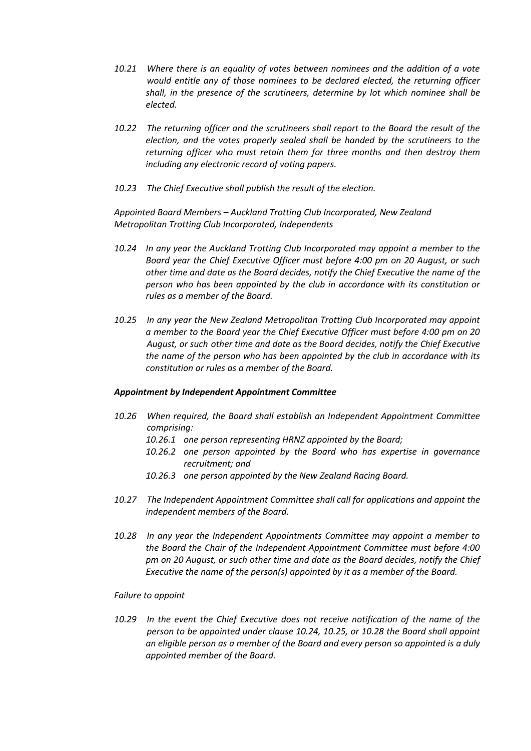- *10.21 Where there is an equality of votes between nominees and the addition of a vote would entitle any of those nominees to be declared elected, the returning officer shall, in the presence of the scrutineers, determine by lot which nominee shall be elected.*
- *10.22 The returning officer and the scrutineers shall report to the Board the result of the election, and the votes properly sealed shall be handed by the scrutineers to the returning officer who must retain them for three months and then destroy them including any electronic record of voting papers.*
- *10.23 The Chief Executive shall publish the result of the election.*

*Appointed Board Members – Auckland Trotting Club Incorporated, New Zealand Metropolitan Trotting Club Incorporated, Independents*

- *10.24 In any year the Auckland Trotting Club Incorporated may appoint a member to the Board year the Chief Executive Officer must before 4:00 pm on 20 August, or such other time and date as the Board decides, notify the Chief Executive the name of the person who has been appointed by the club in accordance with its constitution or rules as a member of the Board.*
- *10.25 In any year the New Zealand Metropolitan Trotting Club Incorporated may appoint a member to the Board year the Chief Executive Officer must before 4:00 pm on 20 August, or such other time and date as the Board decides, notify the Chief Executive the name of the person who has been appointed by the club in accordance with its constitution or rules as a member of the Board.*

#### *Appointment by Independent Appointment Committee*

- *10.26 When required, the Board shall establish an Independent Appointment Committee comprising:*
	- *10.26.1 one person representing HRNZ appointed by the Board;*
	- *10.26.2 one person appointed by the Board who has expertise in governance recruitment; and*
	- *10.26.3 one person appointed by the New Zealand Racing Board.*
- *10.27 The Independent Appointment Committee shall call for applications and appoint the independent members of the Board.*
- *10.28 In any year the Independent Appointments Committee may appoint a member to the Board the Chair of the Independent Appointment Committee must before 4:00 pm on 20 August, or such other time and date as the Board decides, notify the Chief Executive the name of the person(s) appointed by it as a member of the Board.*

#### *Failure to appoint*

*10.29 In the event the Chief Executive does not receive notification of the name of the person to be appointed under clause 10.24, 10.25, or 10.28 the Board shall appoint an eligible person as a member of the Board and every person so appointed is a duly appointed member of the Board.*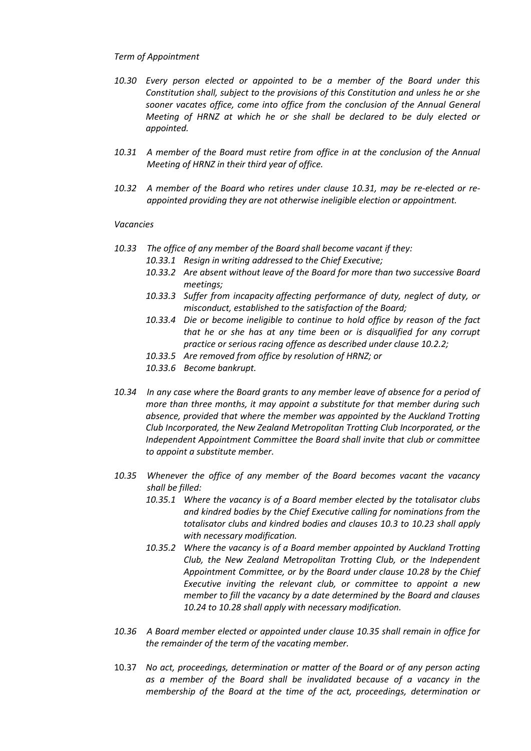### *Term of Appointment*

- *10.30 Every person elected or appointed to be a member of the Board under this Constitution shall, subject to the provisions of this Constitution and unless he or she sooner vacates office, come into office from the conclusion of the Annual General Meeting of HRNZ at which he or she shall be declared to be duly elected or appointed.*
- *10.31 A member of the Board must retire from office in at the conclusion of the Annual Meeting of HRNZ in their third year of office.*
- *10.32 A member of the Board who retires under clause 10.31, may be re-elected or re appointed providing they are not otherwise ineligible election or appointment.*

### *Vacancies*

- *10.33 The office of any member of the Board shall become vacant if they:*
	- *10.33.1 Resign in writing addressed to the Chief Executive;*
	- *10.33.2 Are absent without leave of the Board for more than two successive Board meetings;*
	- *10.33.3 Suffer from incapacity affecting performance of duty, neglect of duty, or misconduct, established to the satisfaction of the Board;*
	- *10.33.4 Die or become ineligible to continue to hold office by reason of the fact that he or she has at any time been or is disqualified for any corrupt practice or serious racing offence as described under clause 10.2.2;*
	- *10.33.5 Are removed from office by resolution of HRNZ; or*
	- *10.33.6 Become bankrupt.*
- *10.34 In any case where the Board grants to any member leave of absence for a period of more than three months, it may appoint a substitute for that member during such absence, provided that where the member was appointed by the Auckland Trotting Club Incorporated, the New Zealand Metropolitan Trotting Club Incorporated, or the Independent Appointment Committee the Board shall invite that club or committee to appoint a substitute member.*
- *10.35 Whenever the office of any member of the Board becomes vacant the vacancy shall be filled:*
	- *10.35.1 Where the vacancy is of a Board member elected by the totalisator clubs and kindred bodies by the Chief Executive calling for nominations from the totalisator clubs and kindred bodies and clauses 10.3 to 10.23 shall apply with necessary modification.*
	- *10.35.2 Where the vacancy is of a Board member appointed by Auckland Trotting Club, the New Zealand Metropolitan Trotting Club, or the Independent Appointment Committee, or by the Board under clause 10.28 by the Chief Executive inviting the relevant club, or committee to appoint a new member to fill the vacancy by a date determined by the Board and clauses 10.24 to 10.28 shall apply with necessary modification.*
- *10.36 A Board member elected or appointed under clause 10.35 shall remain in office for the remainder of the term of the vacating member.*
- 10.37 *No act, proceedings, determination or matter of the Board or of any person acting as a member of the Board shall be invalidated because of a vacancy in the membership of the Board at the time of the act, proceedings, determination or*